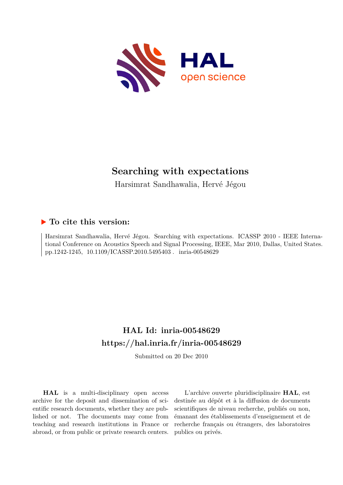

# **Searching with expectations**

Harsimrat Sandhawalia, Hervé Jégou

## **To cite this version:**

Harsimrat Sandhawalia, Hervé Jégou. Searching with expectations. ICASSP 2010 - IEEE International Conference on Acoustics Speech and Signal Processing, IEEE, Mar 2010, Dallas, United States. pp.1242-1245, 10.1109/ICASSP.2010.5495403. inria-00548629

## **HAL Id: inria-00548629 <https://hal.inria.fr/inria-00548629>**

Submitted on 20 Dec 2010

**HAL** is a multi-disciplinary open access archive for the deposit and dissemination of scientific research documents, whether they are published or not. The documents may come from teaching and research institutions in France or abroad, or from public or private research centers.

L'archive ouverte pluridisciplinaire **HAL**, est destinée au dépôt et à la diffusion de documents scientifiques de niveau recherche, publiés ou non, émanant des établissements d'enseignement et de recherche français ou étrangers, des laboratoires publics ou privés.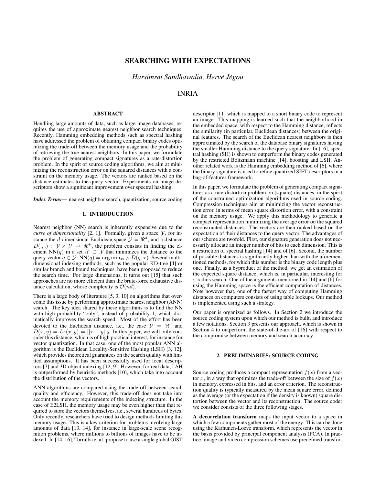## SEARCHING WITH EXPECTATIONS

*Harsimrat Sandhawalia, Herve J ´ egou ´*

## INRIA

### ABSTRACT

Handling large amounts of data, such as large image databases, requires the use of approximate nearest neighbor search techniques. Recently, Hamming embedding methods such as spectral hashing have addressed the problem of obtaining compact binary codes optimizing the trade-off between the memory usage and the probability of retrieving the true nearest neighbors. In this paper, we formulate the problem of generating compact signatures as a rate-distortion problem. In the spirit of source coding algorithms, we aim at minimizing the reconstruction error on the squared distances with a constraint on the memory usage. The vectors are ranked based on the distance estimates to the query vector. Experiments on image descriptors show a significant improvement over spectral hashing.

*Index Terms*— nearest neighbor search, quantization, source coding

## 1. INTRODUCTION

Nearest neighbor (NN) search is inherently expensive due to the *curse of dimensionality* [2, 1]. Formally, given a space  $Y$ , for instance the *d*-dimensional Euclidean space  $\mathcal{Y} = \mathbb{R}^d$ , and a distance  $D(.,.) : \mathcal{Y} \times \mathcal{Y} \rightarrow \mathbb{R}^+$ , the problem consists in finding the element NN(q) in a set  $\mathcal{X} \subset \mathcal{Y}$  that minimizes the distance to the query vector  $q \in \mathcal{Y}$ : NN(q) = arg min<sub>x∈X</sub> D(q, x). Several multidimensional indexing methods, such as the popular KD-tree [4] or similar branch and bound techniques, have been proposed to reduce the search time. For large dimensions, it turns out [15] that such approaches are no more efficient than the brute-force exhaustive distance calculation, whose complexity is  $\mathcal{O}(nd)$ .

There is a large body of literature [5, 3, 10] on algorithms that overcome this issue by performing approximate nearest neighbor (ANN) search. The key idea shared by these algorithms is to find the NN with high probability "only", instead of probability 1, which dramatically improves the search speed. Most of the effort has been devoted to the Euclidean distance, i.e., the case  $\mathcal{Y} = \mathbb{R}^d$  and  $D(x, y) = L_2(x, y) = ||x - y||_2$ . In this paper, we will only consider this distance, which is of high practical interest, for instance for vector quantization. In that case, one of the most popular ANN algorithm is the Euclidean Locality-Sensitive Hashing (LSH) [3, 12], which provides theoretical guarantees on the search quality with limited assumptions. It has been successfully used for local descriptors [7] and 3D object indexing [12, 9]. However, for real data, LSH is outperformed by heuristic methods [10], which take into account the distribution of the vectors.

ANN algorithms are compared using the trade-off between search quality and efficiency. However, this trade-off does not take into account the memory requirements of the indexing structure. In the case of E2LSH, the memory usage may be even higher than that required to store the vectors themselves, i.e., several hundreds of bytes. Only recently, researchers have tried to design methods limiting this memory usage. This is a key criterion for problems involving large amounts of data [13, 14], for instance in large-scale scene recognition problems, where millions to billions of images have to be indexed. In [14, 16], Torralba et al. propose to use a single global GIST descriptor [11] which is mapped to a short binary code to represent an image. This mapping is learned such that the neighborhood in the embedded space, with respect to the Hamming distance, reflects the similarity (in particular, Euclidean distances) between the original features. The search of the Euclidean nearest neighbors is then approximated by the search of the database binary signatures having the smaller Hamming distance to the query signature. In [16], spectral hashing (SH) is shown to outperform the binary codes generated by the restricted Boltzmann machine [14], boosting and LSH. Another related work is the Hamming embedding method of [6], where the binary signature is used to refine quantized SIFT descriptors in a bag-of-features framework.

In this paper, we formulate the problem of generating compact signatures as a rate-distortion problem on (square) distances, in the spirit of the constrained optimization algorithms used in source coding. Compression techniques aim at minimizing the vector reconstruction error, in terms of mean square distortion error, with a constraint on the memory usage. We apply this methodology to generate a compact representation minimizing the average error on the squared reconstructed distances. The vectors are then ranked based on the expectation of their distances to the query vector. The advantages of our scheme are twofold. First, our signature generation does not necessarily allocate an integer number of bits to each dimension. This is a restriction of spectral hashing [14] and of [6]. Second, the number of possible distances is significantly higher than with the aforementioned methods, for which this number is the binary code length plus one. Finally, as a byproduct of the method, we get an estimation of the expected square distance, which is, in particular, interesting for  $\varepsilon$ -radius search. One of the arguments mentioned in [14] and [6] for using the Hamming space is the efficient computation of distances. Note however that, one of the fastest way of computing Hamming distances on computers consists of using table lookups. Our method is implemented using such a strategy.

Our paper is organized as follows. In Section 2 we introduce the source coding system upon which our method is built, and introduce a few notations. Section 3 presents our approach, which is shown in Section 4 to outperform the state-of-the-art of [16] with respect to the compromise between memory and search accuracy.

#### 2. PRELIMINARIES: SOURCE CODING

Source coding produces a compact representation  $f(x)$  from a vector x, in a way that optimizes the trade-off between the size of  $f(x)$ in memory, expressed in bits, and an error criterion. The reconstruction quality is typically measured by the mean square error, defined as the average (or the expectation if the density is known) square distortion between the vector and its reconstruction. The source coder we consider consists of the three following stages.

A decorrelation transform maps the input vector to a space in which a few components gather most of the energy. This can be done using the Karhunen-Loeve transform, which represents the vector in the basis provided by principal component analysis (PCA). In practice, image and video compression schemes use predefined transfor-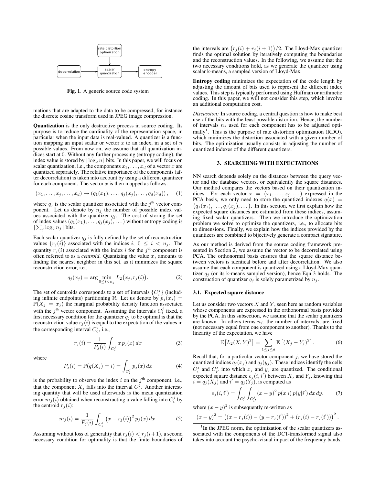

Fig. 1. A generic source code system

mations that are adapted to the data to be compressed, for instance the discrete cosine transform used in JPEG image compression.

Quantization is the only destructive process in source coding. Its purpose is to reduce the cardinality of the representation space, in particular when the input data is real-valued. A quantizer is a function mapping an input scalar or vector  $x$  to an index, in a set of  $n$ possible values. From now on, we assume that all quantization indices start at 0. Without any further processing (entropy coding), the index value is stored by  $\lceil \log_2 n \rceil$  bits. In this paper, we will focus on scalar quantization, i.e., the components  $x_1, \ldots, x_d$  of a vector x are quantized separately. The relative importance of the components (after decorrelation) is taken into account by using a different quantizer for each component. The vector  $x$  is then mapped as follows:

$$
(x_1,\ldots,x_j,\ldots,x_d)\rightarrow (q_1(x_1),\ldots,q_j(x_j),\ldots,q_d(x_d)),\quad (1)
$$

where  $q_j$  is the scalar quantizer associated with the  $j<sup>th</sup>$  vector component. Let us denote by  $n_j$  the number of possible index values associated with the quantizer  $q_i$ . The cost of storing the set of index values  $(q_1(x_1), \ldots, q_j(x_j), \ldots)$  without entropy coding is  $\lceil \sum_j \log_2 n_j \rceil$  bits.

Each scalar quantizer  $q_j$  is fully defined by the set of reconstruction values  $\{r_i(i)\}$  associated with the indices i,  $0 \leq i \leq n_i$ . The quantity  $r_j(i)$  associated with the index i for the j<sup>th</sup> component is often referred to as a *centroid*. Quantizing the value  $x_j$  amounts to finding the nearest neighbor in this set, as it minimizes the square reconstruction error, i.e.,

$$
q_j(x_j) = \arg\min_{0 \le i < n_j} L_2(x_j, r_j(i)). \tag{2}
$$

The set of centroids corresponds to a set of intervals  $\{C_i^j\}$  (including infinite endpoints) partitioning  $\Re$ . Let us denote by  $p_j(x_j) =$  $\mathbb{P}(X_j = x_j)$  the marginal probability density function associated with the  $j^{\text{th}}$  vector component. Assuming the intervals  $C_i^j$  fixed, a first necessary condition for the quantizer  $q_j$  to be optimal is that the reconstruction value  $r_j(i)$  is equal to the expectation of the values in the corresponding interval  $C_i^j$ , i.e.,

$$
r_j(i) = \frac{1}{P_j(i)} \int_{C_i^j} x p_j(x) \, dx \tag{3}
$$

where

$$
P_j(i) = \mathbb{P}(q(X_j) = i) = \int_{C_i^j} p_j(x) dx \tag{4}
$$

is the probability to observe the index i on the  $j<sup>th</sup>$  component, i.e., that the component  $X_j$  falls into the interval  $C_i^j$ . Another interesting quantity that will be used afterwards is the mean quantization error  $m_j(i)$  obtained when reconstructing a value falling into  $C_i^j$  by the centroid  $r_i(i)$ :

$$
m_j(i) = \frac{1}{P_j(i)} \int_{C_i^j} (x - r_j(i))^2 p_j(x) dx.
$$
 (5)

Assuming without loss of generality that  $r_j(i) < r_j(i+1)$ , a second necessary condition for optimality is that the finite boundaries of

the intervals are  $\left( r_j(i) + r_j(i + 1) \right) / 2$ . The Lloyd-Max quantizer finds the optimal solution by iteratively computing the boundaries and the reconstruction values. In the following, we assume that the two necessary conditions hold, as we generate the quantizer using scalar k-means, a sampled version of Lloyd-Max.

Entropy coding minimizes the expectation of the code length by adjusting the amount of bits used to represent the different index values. This step is typically performed using Huffman or arithmetic coding. In this paper, we will not consider this step, which involve an additional computation cost.

*Discussion:* In source coding, a central question is how to make best use of the bits with the least possible distortion. Hence, the number of intervals  $n_j$  used for each component has to be adjusted optimally<sup>1</sup>. This is the purpose of rate distortion optimization (RDO), which minimizes the distortion associated with a given number of bits. The optimization usually consists in adjusting the number of quantized indexes of the different quantizers.

## 3. SEARCHING WITH EXPECTATIONS

NN search depends solely on the distances between the query vector and the database vectors, or equivalently the square distances. Our method compares the vectors based on their quantization indices. For each vector  $x = (x_1, \ldots, x_j, \ldots)$  expressed in the PCA basis, we only need to store the quantized indexes  $q(x)$  =  $(q_1(x_1), \ldots, q_j(x_j), \ldots)$ . In this section, we first explain how the expected square distances are estimated from these indices, assuming fixed scalar quantizers. Then we introduce the optimization problem we solve to optimize the quantizers, i.e., to allocate bits to dimensions. Finally, we explain how the indices provided by the quantizers are combined to bijectively generate a compact signature.

As our method is derived from the source coding framework presented in Section 2, we assume the vector to be decorrelated using PCA. The orthonormal basis ensures that the square distance between vectors is identical before and after decorrelation. We also assume that each component is quantized using a Lloyd-Max quantizer  $q_i$  (or its k-means sampled version), hence Eqn 3 holds. The construction of quantizer  $q_j$  is solely parametrized by  $n_j$ .

#### 3.1. Expected square distance

Let us consider two vectors  $X$  and  $Y$ , seen here as random variables whose components are expressed in the orthonormal basis provided by the PCA. In this subsection, we assume that the scalar quantizers are known. In others terms  $n<sub>i</sub>$ , the number of intervals, are fixed (not necessary equal from one component to another). Thanks to the linearity of the expectation, we have

$$
\mathbb{E}\left[L_2(X,Y)^2\right] = \sum_{1 \le j \le d} \mathbb{E}\left[(X_j - Y_j)^2\right].\tag{6}
$$

Recall that, for a particular vector component  $j$ , we have stored the quantized indices  $q_j(x_j)$  and  $q_j(y_j)$ . These indices identify the cells  $C_i^j$  and  $C_{i'}^j$  into which  $x_j$  and  $y_j$  are quantized. The conditional expected square distance  $e_j(i, i')$  between  $X_j$  and  $Y_j$ , knowing that  $i = q_j(X_j)$  and  $i' = q_j(Y_j)$ , is computed as

$$
e_j(i, i') = \int_{C_i^j} \int_{C_{i'}^j} (x - y)^2 p(x|i) p(y|i') dx dy.
$$
 (7)

where  $(x - y)^2$  is subsequently re-written as

$$
(x-y)^{2} = ((x-rj(i)) - (y-rj(i'))^{2} + (rj(i) - rj(i')))^{2}.
$$

<sup>1</sup>In the JPEG norm, the optimization of the scalar quantizers associated with the components of the DCT-transformed signal also takes into account the psycho-visual impact of the frequency bands.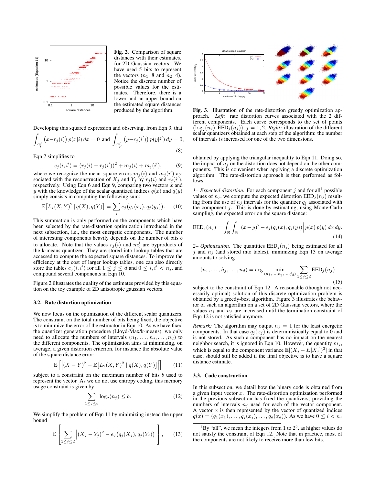

Fig. 2. Comparison of square distances with their estimates, for 2D Gaussian vectors. We have used 5 bits to represent the vectors  $(n_1=8$  and  $n_2=4)$ . Notice the discrete number of possible values for the estimates. Therefore, there is a lower and an upper bound on the estimated square distances produced by the algorithm.

Developing this squared expression and observing, from Eqn 3, that

$$
\int_{C_i^j} (x - r_j(i)) p(x|i) dx = 0 \text{ and } \int_{C_{i'}^j} (y - r_j(i')) p(y|i') dy = 0,
$$
\n(8)

Eqn 7 simplifies to

$$
e_j(i, i') = (r_j(i) - r_j(i'))^2 + m_j(i) + m_j(i'),
$$
 (9)

where we recognize the mean square errors  $m_j(i)$  and  $m_j(i')$  associated with the reconstruction of  $X_j$  and  $Y_j$  by  $r_j(i)$  and  $r_j(i')$ , respectively. Using Eqn 6 and Eqn 9, comparing two vectors  $x$  and y with the knowledge of the scalar quantized indices  $q(x)$  and  $q(y)$ simply consists in computing the following sum:

$$
\mathbb{E}[L_2(X,Y)^2 | q(X), q(Y)] = \sum_j e_j(q_j(x_j), q_j(y_j)). \quad (10)
$$

This summation is only performed on the components which have been selected by the rate-distortion optimization introduced in the next subsection, i.e., the most energetic components. The number of interesting components heavily depends on the number of bits b to allocate. Note that the values  $r_j(i)$  and  $m_i^j$  are byproducts of the k-means quantizer. They are stored into lookup tables that are accessed to compute the expected square distances. To improve the efficiency at the cost of larger lookup tables, one can also directly store the tables  $e_j(i, i')$  for all  $1 \leq j \leq d$  and  $0 \leq i, i' < n_j$ , and compound several components in Eqn 10.

Figure 2 illustrates the quality of the estimates provided by this equation on the toy example of 2D anisotropic gaussian vectors.

### 3.2. Rate distortion optimization

We now focus on the optimization of the different scalar quantizers. The constraint on the total number of bits being fixed, the objective is to minimize the error of the estimator in Eqn 10. As we have fixed the quantizer generation procedure (Lloyd-Max/k-means), we only need to allocate the numbers of intervals  $(n_1, \ldots, n_j, \ldots, n_d)$  to the different components. The optimization aims at minimizing, on average, a given distortion criterion, for instance the absolute value of the square distance error:

$$
\mathbb{E}\left[\left|\left(X-Y\right)^2 - \mathbb{E}\left[L_2(X,Y)^2 \mid q(X), q(Y)\right]\right|\right] \tag{11}
$$

subject to a constraint on the maximum number of bits b used to represent the vector. As we do not use entropy coding, this memory usage constraint is given by

$$
\sum_{1 \le j \le d} \log_2(n_j) \le b. \tag{12}
$$

We simplify the problem of Eqn 11 by minimizing instead the upper bound

$$
\mathbb{E}\left[\sum_{1\leq j\leq d}\left|(X_j-Y_j)^2-e_j\big(q_j(X_j),q_j(Y_j)\big)\right|\right],\qquad(13)
$$



Fig. 3. Illustration of the rate-distortion greedy optimization approach. *Left:* rate distortion curves associated with the 2 different components. Each curve corresponds to the set of points  $(\log_2(n_j), \text{EED}_j(n_j)), j = 1, 2$ . *Right:* illustration of the different scalar quantizers obtained at each step of the algorithm: the number of intervals is increased for one of the two dimensions.

obtained by applying the triangular inequality to Eqn 11. Doing so, the impact of  $n_i$  on the distortion does not depend on the other components. This is convenient when applying a discrete optimization algorithm. The rate-distortion approach is then performed as follows.

*1– Expected distortion.* For each component  $j$  and for all<sup>2</sup> possible values of  $n_j$ , we compute the expected distortion  $\text{EED}_j(n_j)$  resulting from the use of  $n_j$  intervals for the quantizer  $q_j$  associated with the component  $j$ . This is done by estimating, using Monte-Carlo sampling, the expected error on the square distance:

$$
EED_j(n_j) = \int_{\Re} \int_{\Re} \left| (x - y)^2 - e_j(q_j(x), q_j(y)) \right| p(x) p(y) dx dy.
$$
\n(14)

*2– Optimization.* The quantities  $EED_j(n_j)$  being estimated for all j and  $n_i$  (and stored into tables), minimizing Eqn 13 on average amounts to solving

$$
(\hat{n}_1, ..., \hat{n}_j, ..., \hat{n}_d) = \arg \min_{(n_1, ..., n_j, ..., j_d)} \sum_{1 \le j \le d} EED_j(n_j)
$$
\n(15)

subject to the constraint of Eqn 12. A reasonable (though not necessarily optimal) solution of this discrete optimization problem is obtained by a greedy-best algorithm. Figure 3 illustrates the behavior of such an algorithm on a set of 2D Gaussian vectors, where the values  $n_1$  and  $n_2$  are increased until the termination constraint of Eqn 12 is not satisfied anymore.

*Remark:* The algorithm may output  $n_j = 1$  for the least energetic components. In that case  $q_j(x_j)$  is deterministically equal to 0 and is not stored. As such a component has no impact on the nearest neighbor search, it is ignored in Eqn 10. However, the quantity  $m_j$ , which is equal to the component variance  $\mathbb{E}[(X_j - E[X_j])^2]$  in that case, should still be added if the final objective is to have a square distance estimate.

#### 3.3. Code construction

In this subsection, we detail how the binary code is obtained from a given input vector  $x$ . The rate-distortion optimization performed in the previous subsection has fixed the quantizers, providing the numbers of intervals  $n_j$  used for each of the vector component. A vector  $x$  is then represented by the vector of quantized indices  $q(x) = (q_1(x_1), \ldots, q_j(x_j), \ldots, q_d(x_d))$ . As we have  $0 \le i < n_j$ 

 $^{2}$ By "all", we mean the integers from 1 to  $2^{b}$ , as higher values do not satisfy the constraint of Eqn 12. Note that in practice, most of the components are not likely to receive more than few bits.